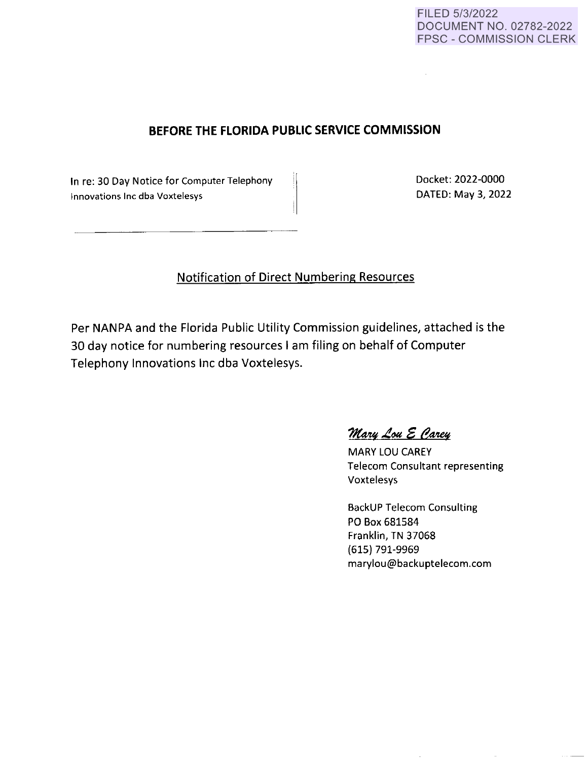## FILED 5/3/2022 DOCUMENT NO. 02782-2022 FPSC - COMMISSION CLERK

# **BEFORE THE FLORIDA PUBLIC SERVICE COMMISSION**

In re: 30 Day Notice for Computer Telephony Innovations Inc dba Voxtelesys

Docket: 2022-0000 DATED: May 3, 2022

 $\mathcal{L}$ 

# Notification of Direct Numbering Resources

Per NANPA and the Florida Public Utility Commission guidelines, attached is the 30 day notice for numbering resources I am filing on behalf of Computer Telephony Innovations Inc dba Voxtelesys.

 $\mathcal{M}$ ary Lou E Carey

**MARY** LOU **CAREY**  Telecom Consultant representing Voxtelesys

BackUP Telecom Consulting **PO Box 681584**  Franklin, TN 37068 (615) 791-9969 ma rylou@backuptelecom.com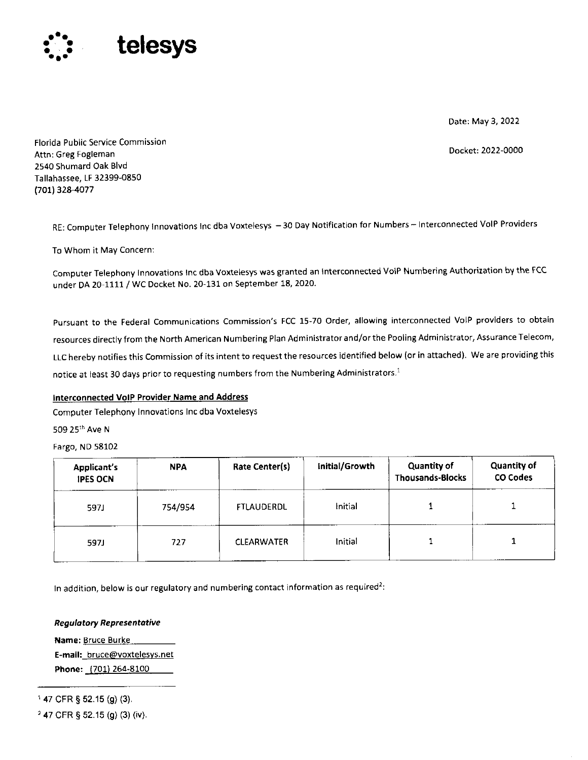

Date: May 3, 2022

Docket: 2022-0000

Florida Public Service Commission Attn: Greg Fogleman 2540 Shumard Oak Blvd Tallahassee, LF 32399-0850 (701) 328-4077

RE: Computer Telephony Innovations Inc dba Voxtelesys -30 Day Notification for Numbers - Interconnected VoIP Providers

To Whom it May Concern:

Computer Telephony Innovations Inc dba Voxtelesys was granted an Interconnected VoIP Numbering Authorization by the FCC under DA 20-1111 / WC Docket No. 20-131 on September 18, 2020.

**Pursuant to the Federal Communications Commission's FCC 15-70 Order, allowing interconnected VoIP providers to obtain resources directly from the North American Numbering Plan Administrator and/or the Pooling Administrator, Assurance Telecom, LLC hereby notifies this Commission of its intent to request the resources identified below (or in attached). We are providing this notice at least 30 days prior to requesting numbers from the Numbering Administrators. <sup>1</sup>**

### **Interconnected VoIP Provider Name and Address**

Computer Telephony Innovations Inc dba Voxtelesys

509 25'" Ave **N** 

Fargo, ND 58102

| <b>Applicant's</b><br><b>IPES OCN</b> | <b>NPA</b> | Rate Center(s)    | Initial/Growth | <b>Quantity of</b><br><b>Thousands-Blocks</b> | <b>Quantity of</b><br><b>CO Codes</b> |
|---------------------------------------|------------|-------------------|----------------|-----------------------------------------------|---------------------------------------|
| 5971                                  | 754/954    | FTLAUDERDL        | Initial        |                                               |                                       |
| 597J                                  | 727        | <b>CLEARWATER</b> | Initial        |                                               |                                       |

**1n addition, below is our regulatory and numbering contact information as required<sup>2</sup> :** 

#### *Regulatory Representative*

**Name: Bruce Burke E-mail: bruce@voxtelesys.net Phone:** (701) 264-8100

<sup>1</sup>47 CFR § 52.15 (g) (3).

2 47 CFR § 52.15 (g) (3) **(iv).**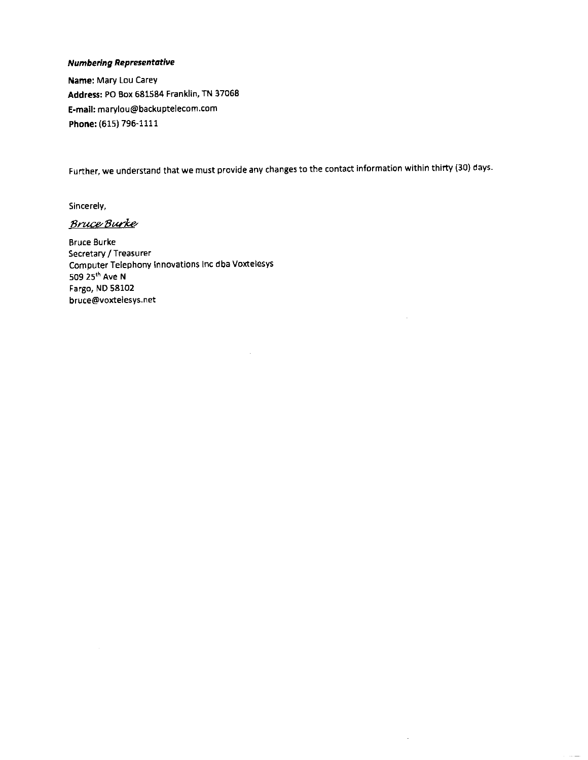### **Numbering Representative**

**Name:** Mary Lou Carey **Address:** PO Box 681584 Franklin, TN 37068 **E-mail:** marylou@backuptelecom.com **Phone:** (615) 796-1111

Further, we understand that we must provide any changes to the contact information within thirty (30) days.

 $\hat{\boldsymbol{\gamma}}$ 

Sincerely,

**Bruce Burke** 

Bruce Burke Secretary/ Treasurer Computer Telephony Innovations Inc dba Voxtelesys 509 25th Ave **N**  Fargo, ND 58102 bruce@voxtelesys.net